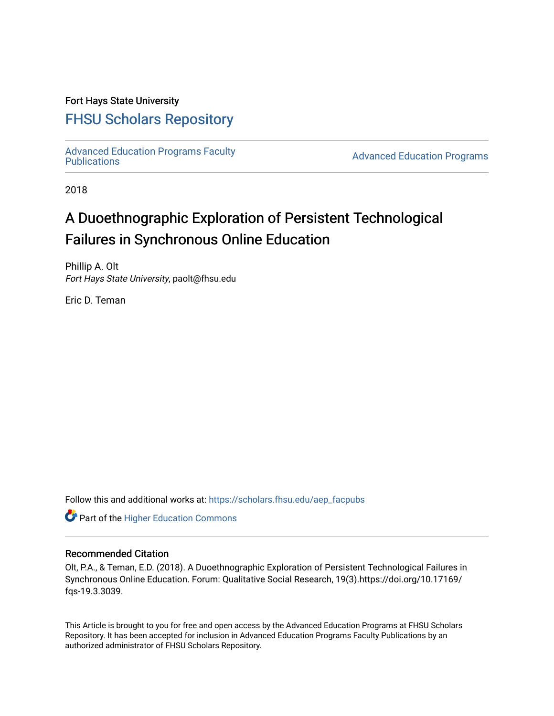# Fort Hays State University

# [FHSU Scholars Repository](https://scholars.fhsu.edu/)

[Advanced Education Programs Faculty](https://scholars.fhsu.edu/aep_facpubs)

**Advanced Education Programs** 

2018

# A Duoethnographic Exploration of Persistent Technological Failures in Synchronous Online Education

Phillip A. Olt Fort Hays State University, paolt@fhsu.edu

Eric D. Teman

Follow this and additional works at: [https://scholars.fhsu.edu/aep\\_facpubs](https://scholars.fhsu.edu/aep_facpubs?utm_source=scholars.fhsu.edu%2Faep_facpubs%2F2&utm_medium=PDF&utm_campaign=PDFCoverPages) 

**Part of the Higher Education Commons** 

#### Recommended Citation

Olt, P.A., & Teman, E.D. (2018). A Duoethnographic Exploration of Persistent Technological Failures in Synchronous Online Education. Forum: Qualitative Social Research, 19(3).https://doi.org/10.17169/ fqs-19.3.3039.

This Article is brought to you for free and open access by the Advanced Education Programs at FHSU Scholars Repository. It has been accepted for inclusion in Advanced Education Programs Faculty Publications by an authorized administrator of FHSU Scholars Repository.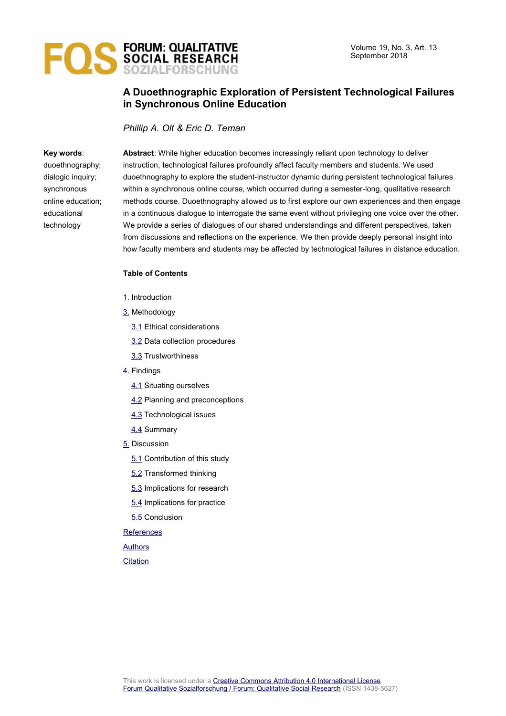

# **A Duoethnographic Exploration of Persistent Technological Failures in Synchronous Online Education**

*Phillip A. Olt & Eric D. Teman*

#### **Key words**:

duoethnography; dialogic inquiry; synchronous online education; educational technology

**Abstract**: While higher education becomes increasingly reliant upon technology to deliver instruction, technological failures profoundly affect faculty members and students. We used duoethnography to explore the student-instructor dynamic during persistent technological failures within a synchronous online course, which occurred during a semester-long, qualitative research methods course. Duoethnography allowed us to first explore our own experiences and then engage in a continuous dialogue to interrogate the same event without privileging one voice over the other. We provide a series of dialogues of our shared understandings and different perspectives, taken from discussions and reflections on the experience. We then provide deeply personal insight into how faculty members and students may be affected by technological failures in distance education.

#### **Table of Contents**

- [1.](#page-2-0) Introduction
- [3.](#page-4-0) Methodology
	- **3.1** Ethical considerations
	- [3.2](#page-6-0) Data collection procedures
	- [3.3](#page-7-2) Trustworthiness
- [4.](#page-7-1) Findings
	- [4.1](#page-7-0) Situating ourselves
	- **[4.2](#page-8-0) Planning and preconceptions**
	- [4.3](#page-9-0) Technological issues
	- [4.4](#page-14-0) Summary
- [5.](#page-15-1) Discussion
	- [5.1](#page-15-0) Contribution of this study
	- [5.2](#page-16-0) Transformed thinking
	- [5.3](#page-17-0) Implications for research
	- [5.4](#page-18-1) Implications for practice
	- [5.5](#page-18-0) Conclusion

#### **[References](#page-19-0)**

[Authors](#page-21-1)

#### **[Citation](#page-21-0)**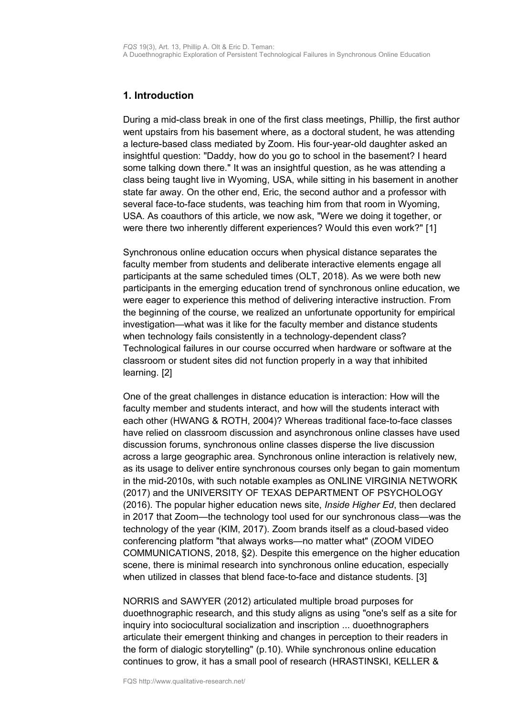# <span id="page-2-0"></span>**1. Introduction**

During a mid-class break in one of the first class meetings, Phillip, the first author went upstairs from his basement where, as a doctoral student, he was attending a lecture-based class mediated by Zoom. His four-year-old daughter asked an insightful question: "Daddy, how do you go to school in the basement? I heard some talking down there." It was an insightful question, as he was attending a class being taught live in Wyoming, USA, while sitting in his basement in another state far away. On the other end, Eric, the second author and a professor with several face-to-face students, was teaching him from that room in Wyoming, USA. As coauthors of this article, we now ask, "Were we doing it together, or were there two inherently different experiences? Would this even work?" [1]

Synchronous online education occurs when physical distance separates the faculty member from students and deliberate interactive elements engage all participants at the same scheduled times (OLT, 2018). As we were both new participants in the emerging education trend of synchronous online education, we were eager to experience this method of delivering interactive instruction. From the beginning of the course, we realized an unfortunate opportunity for empirical investigation—what was it like for the faculty member and distance students when technology fails consistently in a technology-dependent class? Technological failures in our course occurred when hardware or software at the classroom or student sites did not function properly in a way that inhibited learning. [2]

One of the great challenges in distance education is interaction: How will the faculty member and students interact, and how will the students interact with each other (HWANG & ROTH, 2004)? Whereas traditional face-to-face classes have relied on classroom discussion and asynchronous online classes have used discussion forums, synchronous online classes disperse the live discussion across a large geographic area. Synchronous online interaction is relatively new, as its usage to deliver entire synchronous courses only began to gain momentum in the mid-2010s, with such notable examples as ONLINE VIRGINIA NETWORK (2017) and the UNIVERSITY OF TEXAS DEPARTMENT OF PSYCHOLOGY (2016). The popular higher education news site, *Inside Higher Ed*, then declared in 2017 that Zoom—the technology tool used for our synchronous class—was the technology of the year (KIM, 2017). Zoom brands itself as a cloud-based video conferencing platform "that always works—no matter what" (ZOOM VIDEO COMMUNICATIONS, 2018, §2). Despite this emergence on the higher education scene, there is minimal research into synchronous online education, especially when utilized in classes that blend face-to-face and distance students. [3]

NORRIS and SAWYER (2012) articulated multiple broad purposes for duoethnographic research, and this study aligns as using "one's self as a site for inquiry into sociocultural socialization and inscription ... duoethnographers articulate their emergent thinking and changes in perception to their readers in the form of dialogic storytelling" (p.10). While synchronous online education continues to grow, it has a small pool of research (HRASTINSKI, KELLER &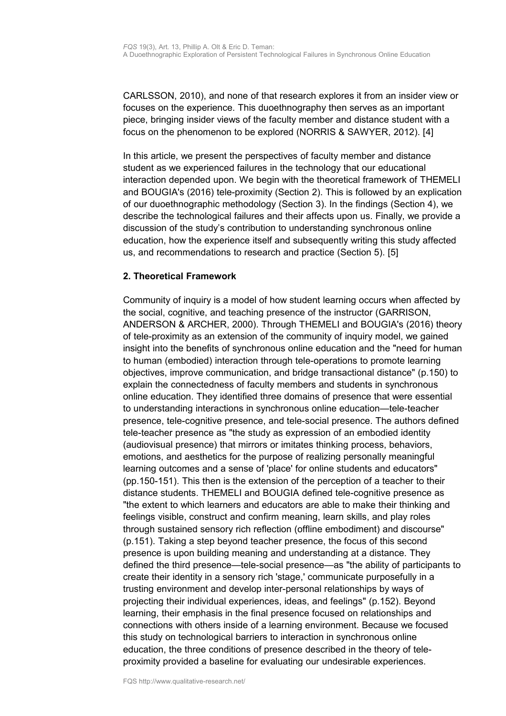CARLSSON, 2010), and none of that research explores it from an insider view or focuses on the experience. This duoethnography then serves as an important piece, bringing insider views of the faculty member and distance student with a focus on the phenomenon to be explored (NORRIS & SAWYER, 2012). [4]

In this article, we present the perspectives of faculty member and distance student as we experienced failures in the technology that our educational interaction depended upon. We begin with the theoretical framework of THEMELI and BOUGIA's (2016) tele-proximity (Section 2). This is followed by an explication of our duoethnographic methodology (Section 3). In the findings (Section 4), we describe the technological failures and their affects upon us. Finally, we provide a discussion of the study's contribution to understanding synchronous online education, how the experience itself and subsequently writing this study affected us, and recommendations to research and practice (Section 5). [5]

# **2. Theoretical Framework**

Community of inquiry is a model of how student learning occurs when affected by the social, cognitive, and teaching presence of the instructor (GARRISON, ANDERSON & ARCHER, 2000). Through THEMELI and BOUGIA's (2016) theory of tele-proximity as an extension of the community of inquiry model, we gained insight into the benefits of synchronous online education and the "need for human to human (embodied) interaction through tele-operations to promote learning objectives, improve communication, and bridge transactional distance" (p.150) to explain the connectedness of faculty members and students in synchronous online education. They identified three domains of presence that were essential to understanding interactions in synchronous online education—tele-teacher presence, tele-cognitive presence, and tele-social presence. The authors defined tele-teacher presence as "the study as expression of an embodied identity (audiovisual presence) that mirrors or imitates thinking process, behaviors, emotions, and aesthetics for the purpose of realizing personally meaningful learning outcomes and a sense of 'place' for online students and educators" (pp.150-151). This then is the extension of the perception of a teacher to their distance students. THEMELI and BOUGIA defined tele-cognitive presence as "the extent to which learners and educators are able to make their thinking and feelings visible, construct and confirm meaning, learn skills, and play roles through sustained sensory rich reflection (offline embodiment) and discourse" (p.151). Taking a step beyond teacher presence, the focus of this second presence is upon building meaning and understanding at a distance. They defined the third presence—tele-social presence—as "the ability of participants to create their identity in a sensory rich 'stage,' communicate purposefully in a trusting environment and develop inter-personal relationships by ways of projecting their individual experiences, ideas, and feelings" (p.152). Beyond learning, their emphasis in the final presence focused on relationships and connections with others inside of a learning environment. Because we focused this study on technological barriers to interaction in synchronous online education, the three conditions of presence described in the theory of teleproximity provided a baseline for evaluating our undesirable experiences.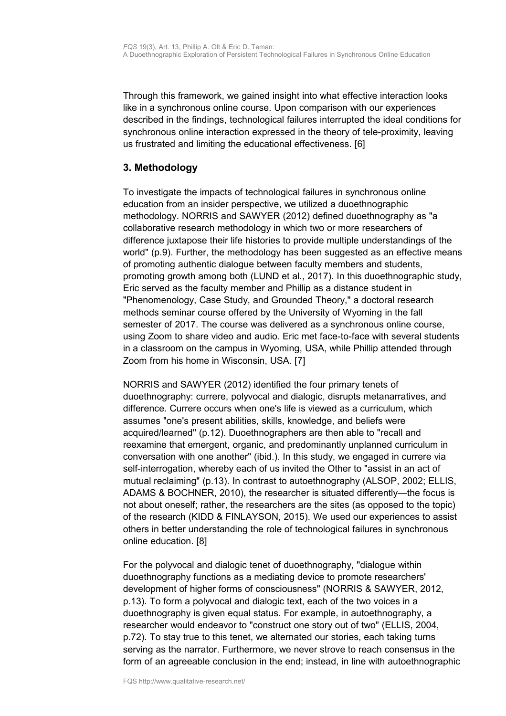Through this framework, we gained insight into what effective interaction looks like in a synchronous online course. Upon comparison with our experiences described in the findings, technological failures interrupted the ideal conditions for synchronous online interaction expressed in the theory of tele-proximity, leaving us frustrated and limiting the educational effectiveness. [6]

# <span id="page-4-0"></span>**3. Methodology**

To investigate the impacts of technological failures in synchronous online education from an insider perspective, we utilized a duoethnographic methodology. NORRIS and SAWYER (2012) defined duoethnography as "a collaborative research methodology in which two or more researchers of difference juxtapose their life histories to provide multiple understandings of the world" (p.9). Further, the methodology has been suggested as an effective means of promoting authentic dialogue between faculty members and students, promoting growth among both (LUND et al., 2017). In this duoethnographic study, Eric served as the faculty member and Phillip as a distance student in "Phenomenology, Case Study, and Grounded Theory," a doctoral research methods seminar course offered by the University of Wyoming in the fall semester of 2017. The course was delivered as a synchronous online course, using Zoom to share video and audio. Eric met face-to-face with several students in a classroom on the campus in Wyoming, USA, while Phillip attended through Zoom from his home in Wisconsin, USA. [7]

NORRIS and SAWYER (2012) identified the four primary tenets of duoethnography: currere, polyvocal and dialogic, disrupts metanarratives, and difference. Currere occurs when one's life is viewed as a curriculum, which assumes "one's present abilities, skills, knowledge, and beliefs were acquired/learned" (p.12). Duoethnographers are then able to "recall and reexamine that emergent, organic, and predominantly unplanned curriculum in conversation with one another" (ibid.). In this study, we engaged in currere via self-interrogation, whereby each of us invited the Other to "assist in an act of mutual reclaiming" (p.13). In contrast to autoethnography (ALSOP, 2002; ELLIS, ADAMS & BOCHNER, 2010), the researcher is situated differently—the focus is not about oneself; rather, the researchers are the sites (as opposed to the topic) of the research (KIDD & FINLAYSON, 2015). We used our experiences to assist others in better understanding the role of technological failures in synchronous online education. [8]

For the polyvocal and dialogic tenet of duoethnography, "dialogue within duoethnography functions as a mediating device to promote researchers' development of higher forms of consciousness" (NORRIS & SAWYER, 2012, p.13). To form a polyvocal and dialogic text, each of the two voices in a duoethnography is given equal status. For example, in autoethnography, a researcher would endeavor to "construct one story out of two" (ELLIS, 2004, p.72). To stay true to this tenet, we alternated our stories, each taking turns serving as the narrator. Furthermore, we never strove to reach consensus in the form of an agreeable conclusion in the end; instead, in line with autoethnographic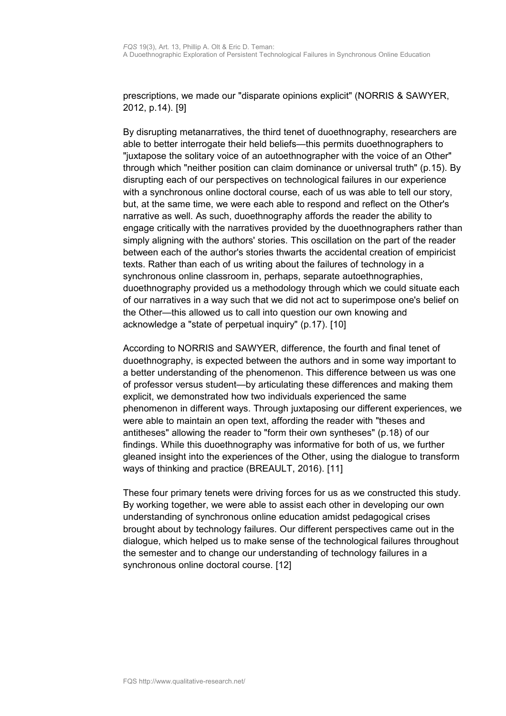prescriptions, we made our "disparate opinions explicit" (NORRIS & SAWYER, 2012, p.14). [9]

By disrupting metanarratives, the third tenet of duoethnography, researchers are able to better interrogate their held beliefs—this permits duoethnographers to "juxtapose the solitary voice of an autoethnographer with the voice of an Other" through which "neither position can claim dominance or universal truth" (p.15). By disrupting each of our perspectives on technological failures in our experience with a synchronous online doctoral course, each of us was able to tell our story, but, at the same time, we were each able to respond and reflect on the Other's narrative as well. As such, duoethnography affords the reader the ability to engage critically with the narratives provided by the duoethnographers rather than simply aligning with the authors' stories. This oscillation on the part of the reader between each of the author's stories thwarts the accidental creation of empiricist texts. Rather than each of us writing about the failures of technology in a synchronous online classroom in, perhaps, separate autoethnographies, duoethnography provided us a methodology through which we could situate each of our narratives in a way such that we did not act to superimpose one's belief on the Other—this allowed us to call into question our own knowing and acknowledge a "state of perpetual inquiry" (p.17). [10]

According to NORRIS and SAWYER, difference, the fourth and final tenet of duoethnography, is expected between the authors and in some way important to a better understanding of the phenomenon. This difference between us was one of professor versus student—by articulating these differences and making them explicit, we demonstrated how two individuals experienced the same phenomenon in different ways. Through juxtaposing our different experiences, we were able to maintain an open text, affording the reader with "theses and antitheses" allowing the reader to "form their own syntheses" (p.18) of our findings. While this duoethnography was informative for both of us, we further gleaned insight into the experiences of the Other, using the dialogue to transform ways of thinking and practice (BREAULT, 2016). [11]

These four primary tenets were driving forces for us as we constructed this study. By working together, we were able to assist each other in developing our own understanding of synchronous online education amidst pedagogical crises brought about by technology failures. Our different perspectives came out in the dialogue, which helped us to make sense of the technological failures throughout the semester and to change our understanding of technology failures in a synchronous online doctoral course. [12]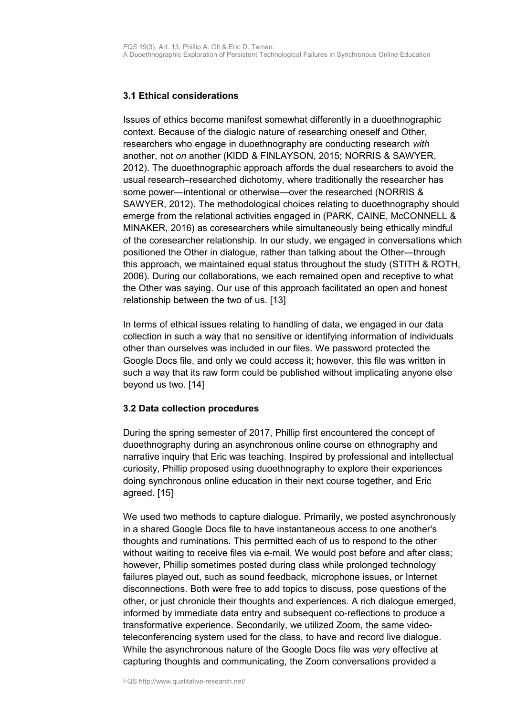# <span id="page-6-1"></span>**3.1 Ethical considerations**

Issues of ethics become manifest somewhat differently in a duoethnographic context. Because of the dialogic nature of researching oneself and Other, researchers who engage in duoethnography are conducting research *with* another, not *on* another (KIDD & FINLAYSON, 2015; NORRIS & SAWYER, 2012). The duoethnographic approach affords the dual researchers to avoid the usual research–researched dichotomy, where traditionally the researcher has some power—intentional or otherwise—over the researched (NORRIS & SAWYER, 2012). The methodological choices relating to duoethnography should emerge from the relational activities engaged in (PARK, CAINE, McCONNELL & MINAKER, 2016) as coresearchers while simultaneously being ethically mindful of the coresearcher relationship. In our study, we engaged in conversations which positioned the Other in dialogue, rather than talking about the Other—through this approach, we maintained equal status throughout the study (STITH & ROTH, 2006). During our collaborations, we each remained open and receptive to what the Other was saying. Our use of this approach facilitated an open and honest relationship between the two of us. [13]

In terms of ethical issues relating to handling of data, we engaged in our data collection in such a way that no sensitive or identifying information of individuals other than ourselves was included in our files. We password protected the Google Docs file, and only we could access it; however, this file was written in such a way that its raw form could be published without implicating anyone else beyond us two. [14]

# <span id="page-6-0"></span>**3.2 Data collection procedures**

During the spring semester of 2017, Phillip first encountered the concept of duoethnography during an asynchronous online course on ethnography and narrative inquiry that Eric was teaching. Inspired by professional and intellectual curiosity, Phillip proposed using duoethnography to explore their experiences doing synchronous online education in their next course together, and Eric agreed. [15]

We used two methods to capture dialogue. Primarily, we posted asynchronously in a shared Google Docs file to have instantaneous access to one another's thoughts and ruminations. This permitted each of us to respond to the other without waiting to receive files via e-mail. We would post before and after class; however, Phillip sometimes posted during class while prolonged technology failures played out, such as sound feedback, microphone issues, or Internet disconnections. Both were free to add topics to discuss, pose questions of the other, or just chronicle their thoughts and experiences. A rich dialogue emerged, informed by immediate data entry and subsequent co-reflections to produce a transformative experience. Secondarily, we utilized Zoom, the same videoteleconferencing system used for the class, to have and record live dialogue. While the asynchronous nature of the Google Docs file was very effective at capturing thoughts and communicating, the Zoom conversations provided a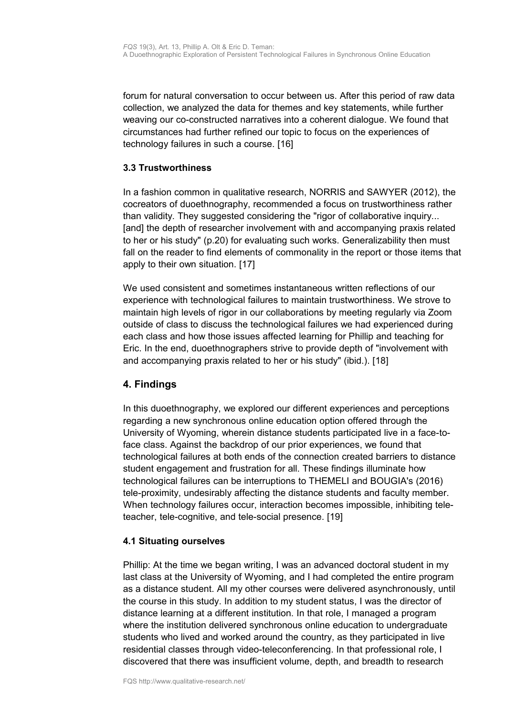forum for natural conversation to occur between us. After this period of raw data collection, we analyzed the data for themes and key statements, while further weaving our co-constructed narratives into a coherent dialogue. We found that circumstances had further refined our topic to focus on the experiences of technology failures in such a course. [16]

## <span id="page-7-2"></span>**3.3 Trustworthiness**

In a fashion common in qualitative research, NORRIS and SAWYER (2012), the cocreators of duoethnography, recommended a focus on trustworthiness rather than validity. They suggested considering the "rigor of collaborative inquiry... [and] the depth of researcher involvement with and accompanying praxis related to her or his study" (p.20) for evaluating such works. Generalizability then must fall on the reader to find elements of commonality in the report or those items that apply to their own situation. [17]

We used consistent and sometimes instantaneous written reflections of our experience with technological failures to maintain trustworthiness. We strove to maintain high levels of rigor in our collaborations by meeting regularly via Zoom outside of class to discuss the technological failures we had experienced during each class and how those issues affected learning for Phillip and teaching for Eric. In the end, duoethnographers strive to provide depth of "involvement with and accompanying praxis related to her or his study" (ibid.). [18]

# <span id="page-7-1"></span>**4. Findings**

In this duoethnography, we explored our different experiences and perceptions regarding a new synchronous online education option offered through the University of Wyoming, wherein distance students participated live in a face-toface class. Against the backdrop of our prior experiences, we found that technological failures at both ends of the connection created barriers to distance student engagement and frustration for all. These findings illuminate how technological failures can be interruptions to THEMELI and BOUGIA's (2016) tele-proximity, undesirably affecting the distance students and faculty member. When technology failures occur, interaction becomes impossible, inhibiting teleteacher, tele-cognitive, and tele-social presence. [19]

# <span id="page-7-0"></span>**4.1 Situating ourselves**

Phillip: At the time we began writing, I was an advanced doctoral student in my last class at the University of Wyoming, and I had completed the entire program as a distance student. All my other courses were delivered asynchronously, until the course in this study. In addition to my student status, I was the director of distance learning at a different institution. In that role, I managed a program where the institution delivered synchronous online education to undergraduate students who lived and worked around the country, as they participated in live residential classes through video-teleconferencing. In that professional role, I discovered that there was insufficient volume, depth, and breadth to research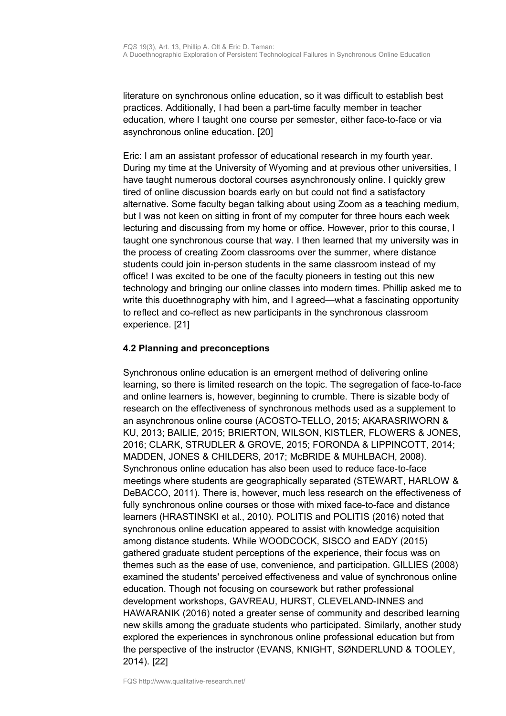literature on synchronous online education, so it was difficult to establish best practices. Additionally, I had been a part-time faculty member in teacher education, where I taught one course per semester, either face-to-face or via asynchronous online education. [20]

Eric: I am an assistant professor of educational research in my fourth year. During my time at the University of Wyoming and at previous other universities, I have taught numerous doctoral courses asynchronously online. I quickly grew tired of online discussion boards early on but could not find a satisfactory alternative. Some faculty began talking about using Zoom as a teaching medium, but I was not keen on sitting in front of my computer for three hours each week lecturing and discussing from my home or office. However, prior to this course, I taught one synchronous course that way. I then learned that my university was in the process of creating Zoom classrooms over the summer, where distance students could join in-person students in the same classroom instead of my office! I was excited to be one of the faculty pioneers in testing out this new technology and bringing our online classes into modern times. Phillip asked me to write this duoethnography with him, and I agreed—what a fascinating opportunity to reflect and co-reflect as new participants in the synchronous classroom experience. [21]

# <span id="page-8-0"></span>**4.2 Planning and preconceptions**

Synchronous online education is an emergent method of delivering online learning, so there is limited research on the topic. The segregation of face-to-face and online learners is, however, beginning to crumble. There is sizable body of research on the effectiveness of synchronous methods used as a supplement to an asynchronous online course (ACOSTO-TELLO, 2015; AKARASRIWORN & KU, 2013; BAILIE, 2015; BRIERTON, WILSON, KISTLER, FLOWERS & JONES, 2016; CLARK, STRUDLER & GROVE, 2015; FORONDA & LIPPINCOTT, 2014; MADDEN, JONES & CHILDERS, 2017; McBRIDE & MUHLBACH, 2008). Synchronous online education has also been used to reduce face-to-face meetings where students are geographically separated (STEWART, HARLOW & DeBACCO, 2011). There is, however, much less research on the effectiveness of fully synchronous online courses or those with mixed face-to-face and distance learners (HRASTINSKI et al., 2010). POLITIS and POLITIS (2016) noted that synchronous online education appeared to assist with knowledge acquisition among distance students. While WOODCOCK, SISCO and EADY (2015) gathered graduate student perceptions of the experience, their focus was on themes such as the ease of use, convenience, and participation. GILLIES (2008) examined the students' perceived effectiveness and value of synchronous online education. Though not focusing on coursework but rather professional development workshops, GAVREAU, HURST, CLEVELAND-INNES and HAWARANIK (2016) noted a greater sense of community and described learning new skills among the graduate students who participated. Similarly, another study explored the experiences in synchronous online professional education but from the perspective of the instructor (EVANS, KNIGHT, SØNDERLUND & TOOLEY, 2014). [22]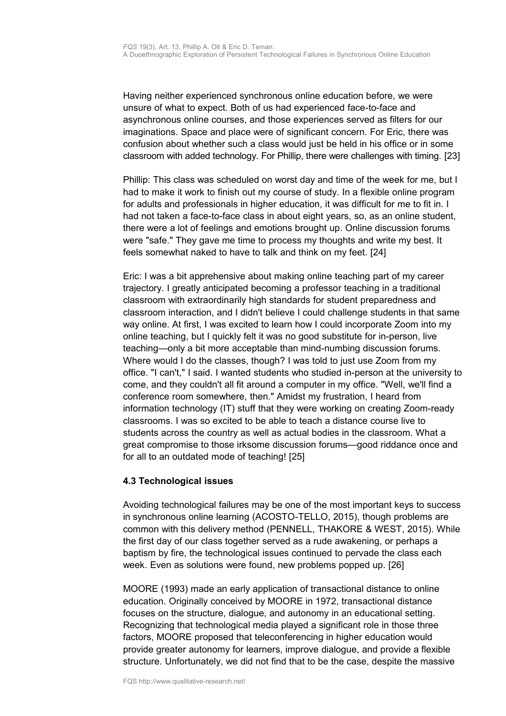Having neither experienced synchronous online education before, we were unsure of what to expect. Both of us had experienced face-to-face and asynchronous online courses, and those experiences served as filters for our imaginations. Space and place were of significant concern. For Eric, there was confusion about whether such a class would just be held in his office or in some classroom with added technology. For Phillip, there were challenges with timing. [23]

Phillip: This class was scheduled on worst day and time of the week for me, but I had to make it work to finish out my course of study. In a flexible online program for adults and professionals in higher education, it was difficult for me to fit in. I had not taken a face-to-face class in about eight years, so, as an online student, there were a lot of feelings and emotions brought up. Online discussion forums were "safe." They gave me time to process my thoughts and write my best. It feels somewhat naked to have to talk and think on my feet. [24]

Eric: I was a bit apprehensive about making online teaching part of my career trajectory. I greatly anticipated becoming a professor teaching in a traditional classroom with extraordinarily high standards for student preparedness and classroom interaction, and I didn't believe I could challenge students in that same way online. At first, I was excited to learn how I could incorporate Zoom into my online teaching, but I quickly felt it was no good substitute for in-person, live teaching—only a bit more acceptable than mind-numbing discussion forums. Where would I do the classes, though? I was told to just use Zoom from my office. "I can't," I said. I wanted students who studied in-person at the university to come, and they couldn't all fit around a computer in my office. "Well, we'll find a conference room somewhere, then." Amidst my frustration, I heard from information technology (IT) stuff that they were working on creating Zoom-ready classrooms. I was so excited to be able to teach a distance course live to students across the country as well as actual bodies in the classroom. What a great compromise to those irksome discussion forums—good riddance once and for all to an outdated mode of teaching! [25]

#### <span id="page-9-0"></span>**4.3 Technological issues**

Avoiding technological failures may be one of the most important keys to success in synchronous online learning (ACOSTO-TELLO, 2015), though problems are common with this delivery method (PENNELL, THAKORE & WEST, 2015). While the first day of our class together served as a rude awakening, or perhaps a baptism by fire, the technological issues continued to pervade the class each week. Even as solutions were found, new problems popped up. [26]

MOORE (1993) made an early application of transactional distance to online education. Originally conceived by MOORE in 1972, transactional distance focuses on the structure, dialogue, and autonomy in an educational setting. Recognizing that technological media played a significant role in those three factors, MOORE proposed that teleconferencing in higher education would provide greater autonomy for learners, improve dialogue, and provide a flexible structure. Unfortunately, we did not find that to be the case, despite the massive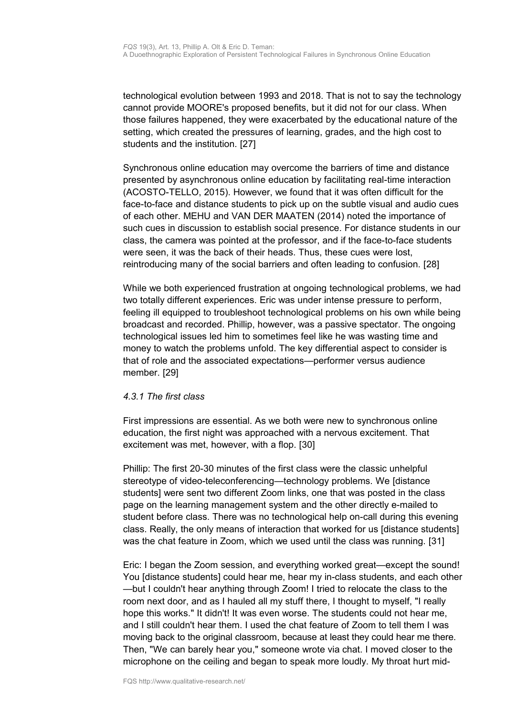technological evolution between 1993 and 2018. That is not to say the technology cannot provide MOORE's proposed benefits, but it did not for our class. When those failures happened, they were exacerbated by the educational nature of the setting, which created the pressures of learning, grades, and the high cost to students and the institution. [27]

Synchronous online education may overcome the barriers of time and distance presented by asynchronous online education by facilitating real-time interaction (ACOSTO-TELLO, 2015). However, we found that it was often difficult for the face-to-face and distance students to pick up on the subtle visual and audio cues of each other. MEHU and VAN DER MAATEN (2014) noted the importance of such cues in discussion to establish social presence. For distance students in our class, the camera was pointed at the professor, and if the face-to-face students were seen, it was the back of their heads. Thus, these cues were lost, reintroducing many of the social barriers and often leading to confusion. [28]

While we both experienced frustration at ongoing technological problems, we had two totally different experiences. Eric was under intense pressure to perform, feeling ill equipped to troubleshoot technological problems on his own while being broadcast and recorded. Phillip, however, was a passive spectator. The ongoing technological issues led him to sometimes feel like he was wasting time and money to watch the problems unfold. The key differential aspect to consider is that of role and the associated expectations—performer versus audience member. [29]

#### *4.3.1 The first class*

First impressions are essential. As we both were new to synchronous online education, the first night was approached with a nervous excitement. That excitement was met, however, with a flop. [30]

Phillip: The first 20-30 minutes of the first class were the classic unhelpful stereotype of video-teleconferencing—technology problems. We [distance students] were sent two different Zoom links, one that was posted in the class page on the learning management system and the other directly e-mailed to student before class. There was no technological help on-call during this evening class. Really, the only means of interaction that worked for us [distance students] was the chat feature in Zoom, which we used until the class was running. [31]

Eric: I began the Zoom session, and everything worked great—except the sound! You [distance students] could hear me, hear my in-class students, and each other —but I couldn't hear anything through Zoom! I tried to relocate the class to the room next door, and as I hauled all my stuff there, I thought to myself, "I really hope this works." It didn't! It was even worse. The students could not hear me, and I still couldn't hear them. I used the chat feature of Zoom to tell them I was moving back to the original classroom, because at least they could hear me there. Then, "We can barely hear you," someone wrote via chat. I moved closer to the microphone on the ceiling and began to speak more loudly. My throat hurt mid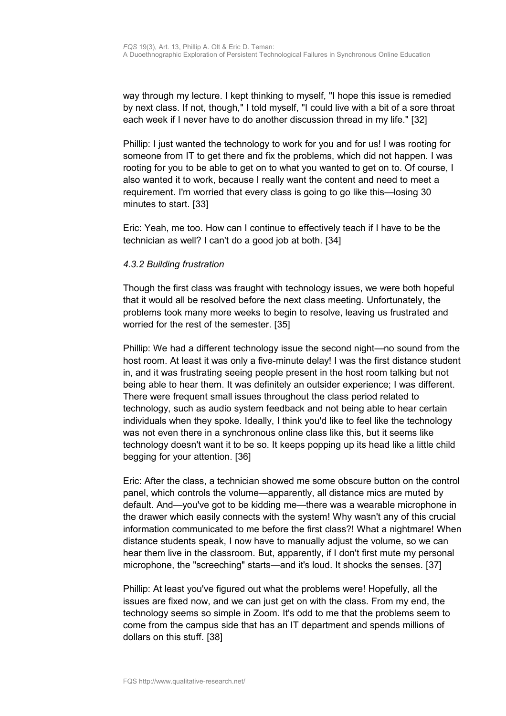way through my lecture. I kept thinking to myself, "I hope this issue is remedied by next class. If not, though," I told myself, "I could live with a bit of a sore throat each week if I never have to do another discussion thread in my life." [32]

Phillip: I just wanted the technology to work for you and for us! I was rooting for someone from IT to get there and fix the problems, which did not happen. I was rooting for you to be able to get on to what you wanted to get on to. Of course, I also wanted it to work, because I really want the content and need to meet a requirement. I'm worried that every class is going to go like this—losing 30 minutes to start. [33]

Eric: Yeah, me too. How can I continue to effectively teach if I have to be the technician as well? I can't do a good job at both. [34]

### *4.3.2 Building frustration*

Though the first class was fraught with technology issues, we were both hopeful that it would all be resolved before the next class meeting. Unfortunately, the problems took many more weeks to begin to resolve, leaving us frustrated and worried for the rest of the semester. [35]

Phillip: We had a different technology issue the second night—no sound from the host room. At least it was only a five-minute delay! I was the first distance student in, and it was frustrating seeing people present in the host room talking but not being able to hear them. It was definitely an outsider experience; I was different. There were frequent small issues throughout the class period related to technology, such as audio system feedback and not being able to hear certain individuals when they spoke. Ideally, I think you'd like to feel like the technology was not even there in a synchronous online class like this, but it seems like technology doesn't want it to be so. It keeps popping up its head like a little child begging for your attention. [36]

Eric: After the class, a technician showed me some obscure button on the control panel, which controls the volume—apparently, all distance mics are muted by default. And—you've got to be kidding me—there was a wearable microphone in the drawer which easily connects with the system! Why wasn't any of this crucial information communicated to me before the first class?! What a nightmare! When distance students speak, I now have to manually adjust the volume, so we can hear them live in the classroom. But, apparently, if I don't first mute my personal microphone, the "screeching" starts—and it's loud. It shocks the senses. [37]

Phillip: At least you've figured out what the problems were! Hopefully, all the issues are fixed now, and we can just get on with the class. From my end, the technology seems so simple in Zoom. It's odd to me that the problems seem to come from the campus side that has an IT department and spends millions of dollars on this stuff. [38]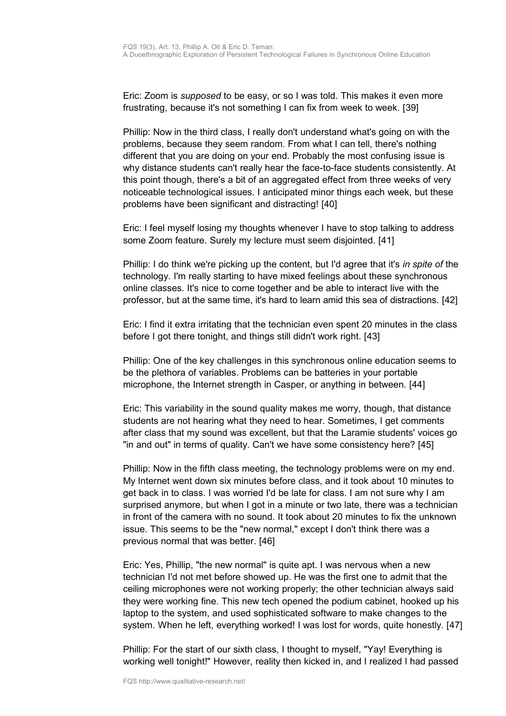Eric: Zoom is *supposed* to be easy, or so I was told. This makes it even more frustrating, because it's not something I can fix from week to week. [39]

Phillip: Now in the third class, I really don't understand what's going on with the problems, because they seem random. From what I can tell, there's nothing different that you are doing on your end. Probably the most confusing issue is why distance students can't really hear the face-to-face students consistently. At this point though, there's a bit of an aggregated effect from three weeks of very noticeable technological issues. I anticipated minor things each week, but these problems have been significant and distracting! [40]

Eric: I feel myself losing my thoughts whenever I have to stop talking to address some Zoom feature. Surely my lecture must seem disjointed. [41]

Phillip: I do think we're picking up the content, but I'd agree that it's *in spite of* the technology. I'm really starting to have mixed feelings about these synchronous online classes. It's nice to come together and be able to interact live with the professor, but at the same time, it's hard to learn amid this sea of distractions. [42]

Eric: I find it extra irritating that the technician even spent 20 minutes in the class before I got there tonight, and things still didn't work right. [43]

Phillip: One of the key challenges in this synchronous online education seems to be the plethora of variables. Problems can be batteries in your portable microphone, the Internet strength in Casper, or anything in between. [44]

Eric: This variability in the sound quality makes me worry, though, that distance students are not hearing what they need to hear. Sometimes, I get comments after class that my sound was excellent, but that the Laramie students' voices go "in and out" in terms of quality. Can't we have some consistency here? [45]

Phillip: Now in the fifth class meeting, the technology problems were on my end. My Internet went down six minutes before class, and it took about 10 minutes to get back in to class. I was worried I'd be late for class. I am not sure why I am surprised anymore, but when I got in a minute or two late, there was a technician in front of the camera with no sound. It took about 20 minutes to fix the unknown issue. This seems to be the "new normal," except I don't think there was a previous normal that was better. [46]

Eric: Yes, Phillip, "the new normal" is quite apt. I was nervous when a new technician I'd not met before showed up. He was the first one to admit that the ceiling microphones were not working properly; the other technician always said they were working fine. This new tech opened the podium cabinet, hooked up his laptop to the system, and used sophisticated software to make changes to the system. When he left, everything worked! I was lost for words, quite honestly. [47]

Phillip: For the start of our sixth class, I thought to myself, "Yay! Everything is working well tonight!" However, reality then kicked in, and I realized I had passed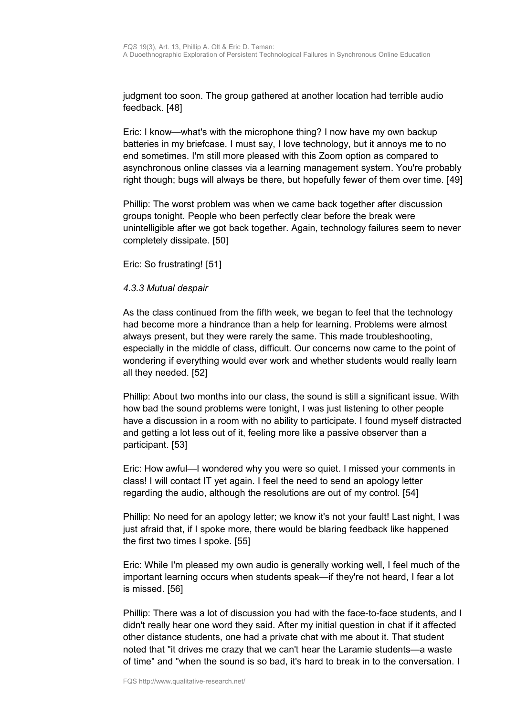judgment too soon. The group gathered at another location had terrible audio feedback. [48]

Eric: I know—what's with the microphone thing? I now have my own backup batteries in my briefcase. I must say, I love technology, but it annoys me to no end sometimes. I'm still more pleased with this Zoom option as compared to asynchronous online classes via a learning management system. You're probably right though; bugs will always be there, but hopefully fewer of them over time. [49]

Phillip: The worst problem was when we came back together after discussion groups tonight. People who been perfectly clear before the break were unintelligible after we got back together. Again, technology failures seem to never completely dissipate. [50]

Eric: So frustrating! [51]

#### *4.3.3 Mutual despair*

As the class continued from the fifth week, we began to feel that the technology had become more a hindrance than a help for learning. Problems were almost always present, but they were rarely the same. This made troubleshooting, especially in the middle of class, difficult. Our concerns now came to the point of wondering if everything would ever work and whether students would really learn all they needed. [52]

Phillip: About two months into our class, the sound is still a significant issue. With how bad the sound problems were tonight, I was just listening to other people have a discussion in a room with no ability to participate. I found myself distracted and getting a lot less out of it, feeling more like a passive observer than a participant. [53]

Eric: How awful—I wondered why you were so quiet. I missed your comments in class! I will contact IT yet again. I feel the need to send an apology letter regarding the audio, although the resolutions are out of my control. [54]

Phillip: No need for an apology letter; we know it's not your fault! Last night, I was just afraid that, if I spoke more, there would be blaring feedback like happened the first two times I spoke. [55]

Eric: While I'm pleased my own audio is generally working well, I feel much of the important learning occurs when students speak—if they're not heard, I fear a lot is missed. [56]

Phillip: There was a lot of discussion you had with the face-to-face students, and I didn't really hear one word they said. After my initial question in chat if it affected other distance students, one had a private chat with me about it. That student noted that "it drives me crazy that we can't hear the Laramie students—a waste of time" and "when the sound is so bad, it's hard to break in to the conversation. I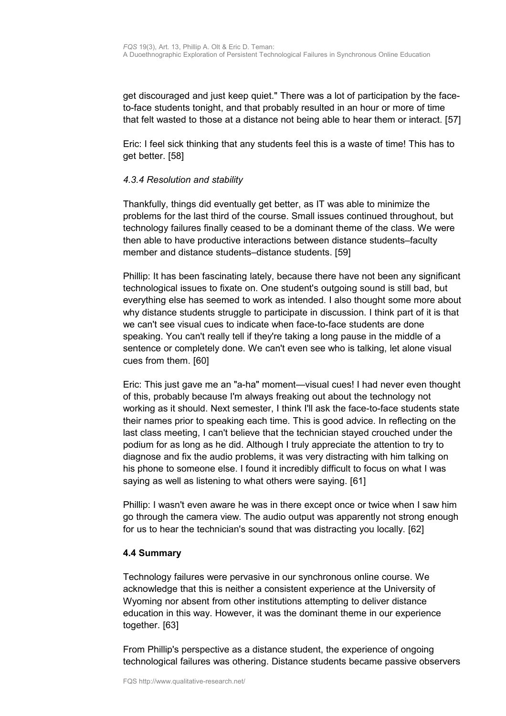get discouraged and just keep quiet." There was a lot of participation by the faceto-face students tonight, and that probably resulted in an hour or more of time that felt wasted to those at a distance not being able to hear them or interact. [57]

Eric: I feel sick thinking that any students feel this is a waste of time! This has to get better. [58]

#### *4.3.4 Resolution and stability*

Thankfully, things did eventually get better, as IT was able to minimize the problems for the last third of the course. Small issues continued throughout, but technology failures finally ceased to be a dominant theme of the class. We were then able to have productive interactions between distance students–faculty member and distance students–distance students. [59]

Phillip: It has been fascinating lately, because there have not been any significant technological issues to fixate on. One student's outgoing sound is still bad, but everything else has seemed to work as intended. I also thought some more about why distance students struggle to participate in discussion. I think part of it is that we can't see visual cues to indicate when face-to-face students are done speaking. You can't really tell if they're taking a long pause in the middle of a sentence or completely done. We can't even see who is talking, let alone visual cues from them. [60]

Eric: This just gave me an "a-ha" moment—visual cues! I had never even thought of this, probably because I'm always freaking out about the technology not working as it should. Next semester, I think I'll ask the face-to-face students state their names prior to speaking each time. This is good advice. In reflecting on the last class meeting, I can't believe that the technician stayed crouched under the podium for as long as he did. Although I truly appreciate the attention to try to diagnose and fix the audio problems, it was very distracting with him talking on his phone to someone else. I found it incredibly difficult to focus on what I was saying as well as listening to what others were saying. [61]

Phillip: I wasn't even aware he was in there except once or twice when I saw him go through the camera view. The audio output was apparently not strong enough for us to hear the technician's sound that was distracting you locally. [62]

#### <span id="page-14-0"></span>**4.4 Summary**

Technology failures were pervasive in our synchronous online course. We acknowledge that this is neither a consistent experience at the University of Wyoming nor absent from other institutions attempting to deliver distance education in this way. However, it was the dominant theme in our experience together. [63]

From Phillip's perspective as a distance student, the experience of ongoing technological failures was othering. Distance students became passive observers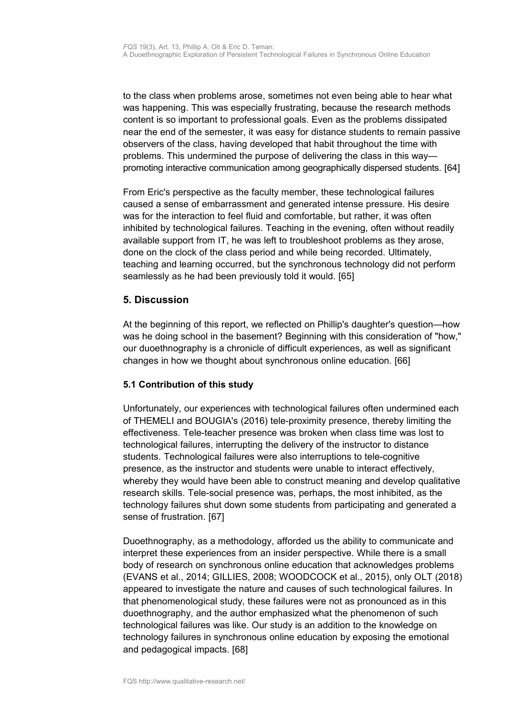to the class when problems arose, sometimes not even being able to hear what was happening. This was especially frustrating, because the research methods content is so important to professional goals. Even as the problems dissipated near the end of the semester, it was easy for distance students to remain passive observers of the class, having developed that habit throughout the time with problems. This undermined the purpose of delivering the class in this way promoting interactive communication among geographically dispersed students. [64]

From Eric's perspective as the faculty member, these technological failures caused a sense of embarrassment and generated intense pressure. His desire was for the interaction to feel fluid and comfortable, but rather, it was often inhibited by technological failures. Teaching in the evening, often without readily available support from IT, he was left to troubleshoot problems as they arose, done on the clock of the class period and while being recorded. Ultimately, teaching and learning occurred, but the synchronous technology did not perform seamlessly as he had been previously told it would. [65]

# <span id="page-15-1"></span>**5. Discussion**

At the beginning of this report, we reflected on Phillip's daughter's question—how was he doing school in the basement? Beginning with this consideration of "how," our duoethnography is a chronicle of difficult experiences, as well as significant changes in how we thought about synchronous online education. [66]

# <span id="page-15-0"></span>**5.1 Contribution of this study**

Unfortunately, our experiences with technological failures often undermined each of THEMELI and BOUGIA's (2016) tele-proximity presence, thereby limiting the effectiveness. Tele-teacher presence was broken when class time was lost to technological failures, interrupting the delivery of the instructor to distance students. Technological failures were also interruptions to tele-cognitive presence, as the instructor and students were unable to interact effectively, whereby they would have been able to construct meaning and develop qualitative research skills. Tele-social presence was, perhaps, the most inhibited, as the technology failures shut down some students from participating and generated a sense of frustration. [67]

Duoethnography, as a methodology, afforded us the ability to communicate and interpret these experiences from an insider perspective. While there is a small body of research on synchronous online education that acknowledges problems (EVANS et al., 2014; GILLIES, 2008; WOODCOCK et al., 2015), only OLT (2018) appeared to investigate the nature and causes of such technological failures. In that phenomenological study, these failures were not as pronounced as in this duoethnography, and the author emphasized what the phenomenon of such technological failures was like. Our study is an addition to the knowledge on technology failures in synchronous online education by exposing the emotional and pedagogical impacts. [68]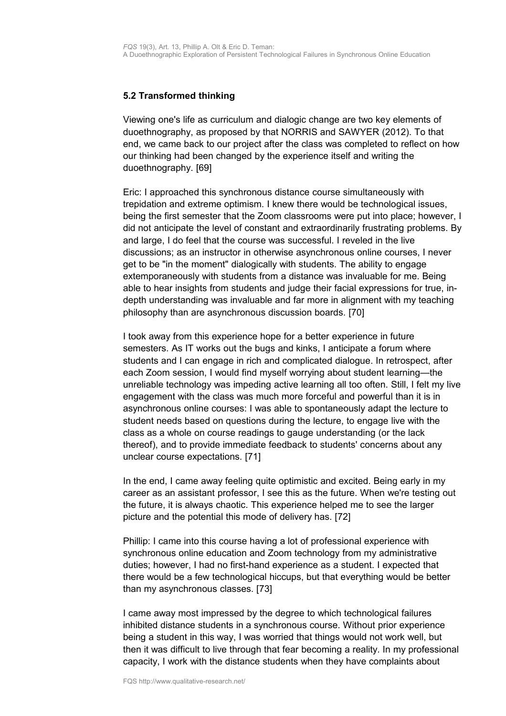## <span id="page-16-0"></span>**5.2 Transformed thinking**

Viewing one's life as curriculum and dialogic change are two key elements of duoethnography, as proposed by that NORRIS and SAWYER (2012). To that end, we came back to our project after the class was completed to reflect on how our thinking had been changed by the experience itself and writing the duoethnography. [69]

Eric: I approached this synchronous distance course simultaneously with trepidation and extreme optimism. I knew there would be technological issues, being the first semester that the Zoom classrooms were put into place; however, I did not anticipate the level of constant and extraordinarily frustrating problems. By and large, I do feel that the course was successful. I reveled in the live discussions; as an instructor in otherwise asynchronous online courses, I never get to be "in the moment" dialogically with students. The ability to engage extemporaneously with students from a distance was invaluable for me. Being able to hear insights from students and judge their facial expressions for true, indepth understanding was invaluable and far more in alignment with my teaching philosophy than are asynchronous discussion boards. [70]

I took away from this experience hope for a better experience in future semesters. As IT works out the bugs and kinks, I anticipate a forum where students and I can engage in rich and complicated dialogue. In retrospect, after each Zoom session, I would find myself worrying about student learning—the unreliable technology was impeding active learning all too often. Still, I felt my live engagement with the class was much more forceful and powerful than it is in asynchronous online courses: I was able to spontaneously adapt the lecture to student needs based on questions during the lecture, to engage live with the class as a whole on course readings to gauge understanding (or the lack thereof), and to provide immediate feedback to students' concerns about any unclear course expectations. [71]

In the end, I came away feeling quite optimistic and excited. Being early in my career as an assistant professor, I see this as the future. When we're testing out the future, it is always chaotic. This experience helped me to see the larger picture and the potential this mode of delivery has. [72]

Phillip: I came into this course having a lot of professional experience with synchronous online education and Zoom technology from my administrative duties; however, I had no first-hand experience as a student. I expected that there would be a few technological hiccups, but that everything would be better than my asynchronous classes. [73]

I came away most impressed by the degree to which technological failures inhibited distance students in a synchronous course. Without prior experience being a student in this way, I was worried that things would not work well, but then it was difficult to live through that fear becoming a reality. In my professional capacity, I work with the distance students when they have complaints about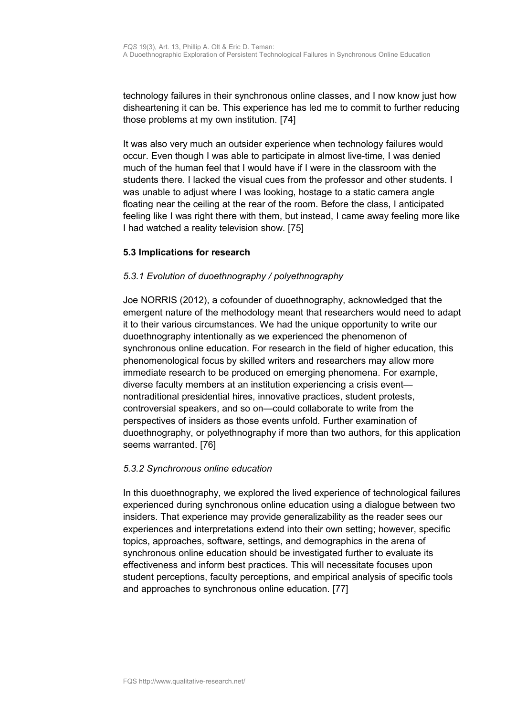technology failures in their synchronous online classes, and I now know just how disheartening it can be. This experience has led me to commit to further reducing those problems at my own institution. [74]

It was also very much an outsider experience when technology failures would occur. Even though I was able to participate in almost live-time, I was denied much of the human feel that I would have if I were in the classroom with the students there. I lacked the visual cues from the professor and other students. I was unable to adjust where I was looking, hostage to a static camera angle floating near the ceiling at the rear of the room. Before the class, I anticipated feeling like I was right there with them, but instead, I came away feeling more like I had watched a reality television show. [75]

### <span id="page-17-0"></span>**5.3 Implications for research**

### *5.3.1 Evolution of duoethnography / polyethnography*

Joe NORRIS (2012), a cofounder of duoethnography, acknowledged that the emergent nature of the methodology meant that researchers would need to adapt it to their various circumstances. We had the unique opportunity to write our duoethnography intentionally as we experienced the phenomenon of synchronous online education. For research in the field of higher education, this phenomenological focus by skilled writers and researchers may allow more immediate research to be produced on emerging phenomena. For example, diverse faculty members at an institution experiencing a crisis event nontraditional presidential hires, innovative practices, student protests, controversial speakers, and so on—could collaborate to write from the perspectives of insiders as those events unfold. Further examination of duoethnography, or polyethnography if more than two authors, for this application seems warranted. [76]

#### *5.3.2 Synchronous online education*

In this duoethnography, we explored the lived experience of technological failures experienced during synchronous online education using a dialogue between two insiders. That experience may provide generalizability as the reader sees our experiences and interpretations extend into their own setting; however, specific topics, approaches, software, settings, and demographics in the arena of synchronous online education should be investigated further to evaluate its effectiveness and inform best practices. This will necessitate focuses upon student perceptions, faculty perceptions, and empirical analysis of specific tools and approaches to synchronous online education. [77]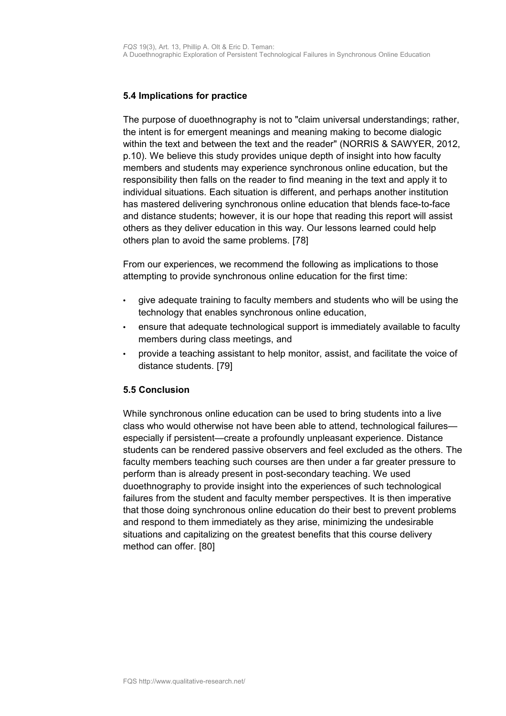## <span id="page-18-1"></span>**5.4 Implications for practice**

The purpose of duoethnography is not to "claim universal understandings; rather, the intent is for emergent meanings and meaning making to become dialogic within the text and between the text and the reader" (NORRIS & SAWYER, 2012, p.10). We believe this study provides unique depth of insight into how faculty members and students may experience synchronous online education, but the responsibility then falls on the reader to find meaning in the text and apply it to individual situations. Each situation is different, and perhaps another institution has mastered delivering synchronous online education that blends face-to-face and distance students; however, it is our hope that reading this report will assist others as they deliver education in this way. Our lessons learned could help others plan to avoid the same problems. [78]

From our experiences, we recommend the following as implications to those attempting to provide synchronous online education for the first time:

- give adequate training to faculty members and students who will be using the technology that enables synchronous online education,
- ensure that adequate technological support is immediately available to faculty members during class meetings, and
- provide a teaching assistant to help monitor, assist, and facilitate the voice of distance students. [79]

#### <span id="page-18-0"></span>**5.5 Conclusion**

While synchronous online education can be used to bring students into a live class who would otherwise not have been able to attend, technological failures especially if persistent—create a profoundly unpleasant experience. Distance students can be rendered passive observers and feel excluded as the others. The faculty members teaching such courses are then under a far greater pressure to perform than is already present in post-secondary teaching. We used duoethnography to provide insight into the experiences of such technological failures from the student and faculty member perspectives. It is then imperative that those doing synchronous online education do their best to prevent problems and respond to them immediately as they arise, minimizing the undesirable situations and capitalizing on the greatest benefits that this course delivery method can offer. [80]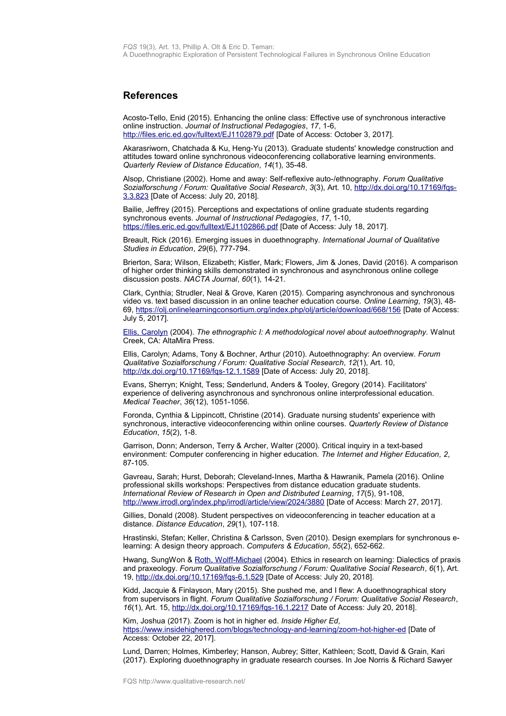#### <span id="page-19-0"></span>**References**

Acosto-Tello, Enid (2015). Enhancing the online class: Effective use of synchronous interactive online instruction. *Journal of Instructional Pedagogies*, *17*, 1-6, <http://files.eric.ed.gov/fulltext/EJ1102879.pdf>[Date of Access: October 3, 2017].

Akarasriworn, Chatchada & Ku, Heng-Yu (2013). Graduate students' knowledge construction and attitudes toward online synchronous videoconferencing collaborative learning environments. *Quarterly Review of Distance Education*, *14*(1), 35-48.

Alsop, Christiane (2002). Home and away: Self-reflexive auto-/ethnography. *Forum Qualitative Sozialforschung / Forum: Qualitative Social Research*, *3*(3), Art. 10, [http://dx.doi.org/10.17169/fqs-](http://dx.doi.org/10.17169/fqs-3.3.823)[3.3.823](http://dx.doi.org/10.17169/fqs-3.3.823) [Date of Access: July 20, 2018].

Bailie, Jeffrey (2015). Perceptions and expectations of online graduate students regarding synchronous events. *Journal of Instructional Pedagogies*, *17*, 1-10, <https://files.eric.ed.gov/fulltext/EJ1102866.pdf>[Date of Access: July 18, 2017].

Breault, Rick (2016). Emerging issues in duoethnography. *International Journal of Qualitative Studies in Education*, *29*(6), 777-794.

Brierton, Sara; Wilson, Elizabeth; Kistler, Mark; Flowers, Jim & Jones, David (2016). A comparison of higher order thinking skills demonstrated in synchronous and asynchronous online college discussion posts. *NACTA Journal*, *60*(1), 14-21.

Clark, Cynthia; Strudler, Neal & Grove, Karen (2015). Comparing asynchronous and synchronous video vs. text based discussion in an online teacher education course. *Online Learning*, *19*(3), 48- 69,<https://olj.onlinelearningconsortium.org/index.php/olj/article/download/668/156>[Date of Access: July 5, 2017].

[Ellis, Carolyn](http://www.qualitative-research.net/index.php/fqs/about/displayMembership/2) (2004). *The ethnographic I: A methodological novel about autoethnography.* Walnut Creek, CA: AltaMira Press.

Ellis, Carolyn; Adams, Tony & Bochner, Arthur (2010). Autoethnography: An overview. *Forum Qualitative Sozialforschung / Forum: Qualitative Social Research*, *12*(1), Art. 10, <http://dx.doi.org/10.17169/fqs-12.1.1589>[Date of Access: July 20, 2018].

Evans, Sherryn; Knight, Tess; Sønderlund, Anders & Tooley, Gregory (2014). Facilitators' experience of delivering asynchronous and synchronous online interprofessional education. *Medical Teacher*, *36*(12), 1051-1056.

Foronda, Cynthia & Lippincott, Christine (2014). Graduate nursing students' experience with synchronous, interactive videoconferencing within online courses. *Quarterly Review of Distance Education*, *15*(2), 1-8.

Garrison, Donn; Anderson, Terry & Archer, Walter (2000). Critical inquiry in a text-based environment: Computer conferencing in higher education. *The Internet and Higher Education, 2*, 87-105.

Gavreau, Sarah; Hurst, Deborah; Cleveland-Innes, Martha & Hawranik, Pamela (2016). Online professional skills workshops: Perspectives from distance education graduate students. *International Review of Research in Open and Distributed Learning*, *17*(5), 91-108, <http://www.irrodl.org/index.php/irrodl/article/view/2024/3880>[Date of Access: March 27, 2017].

Gillies, Donald (2008). Student perspectives on videoconferencing in teacher education at a distance. *Distance Education*, *29*(1), 107-118.

Hrastinski, Stefan; Keller, Christina & Carlsson, Sven (2010). Design exemplars for synchronous elearning: A design theory approach. *Computers & Education*, *55*(2), 652-662.

Hwang, SungWon & [Roth, Wolff-Michael](http://www.qualitative-research.net/index.php/fqs/about/editorialTeam) (2004). Ethics in research on learning: Dialectics of praxis and praxeology. *Forum Qualitative Sozialforschung / Forum: Qualitative Social Research*, *6*(1), Art. 19,<http://dx.doi.org/10.17169/fqs-6.1.529>[Date of Access: July 20, 2018].

Kidd, Jacquie & Finlayson, Mary (2015). She pushed me, and I flew: A duoethnographical story from supervisors in flight. *Forum Qualitative Sozialforschung / Forum: Qualitative Social Research*, *16*(1), Art. 15,<http://dx.doi.org/10.17169/fqs-16.1.2217>Date of Access: July 20, 2018].

Kim, Joshua (2017). Zoom is hot in higher ed. *Inside Higher Ed*, <https://www.insidehighered.com/blogs/technology-and-learning/zoom-hot-higher-ed>[Date of Access: October 22, 2017].

Lund, Darren; Holmes, Kimberley; Hanson, Aubrey; Sitter, Kathleen; Scott, David & Grain, Kari (2017). Exploring duoethnography in graduate research courses. In Joe Norris & Richard Sawyer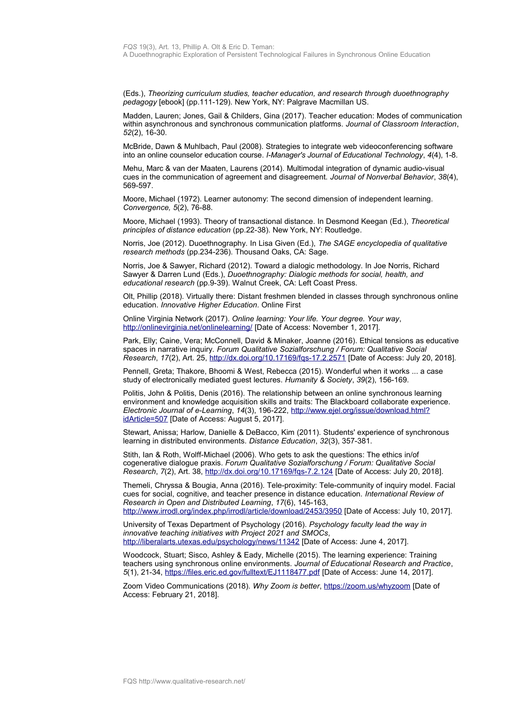(Eds.), *Theorizing curriculum studies, teacher education, and research through duoethnography pedagogy* [ebook] (pp.111-129). New York, NY: Palgrave Macmillan US.

Madden, Lauren; Jones, Gail & Childers, Gina (2017). Teacher education: Modes of communication within asynchronous and synchronous communication platforms. *Journal of Classroom Interaction*, *52*(2), 16-30.

McBride, Dawn & Muhlbach, Paul (2008). Strategies to integrate web videoconferencing software into an online counselor education course. *I-Manager's Journal of Educational Technology*, *4*(4), 1-8.

Mehu, Marc & van der Maaten, Laurens (2014). Multimodal integration of dynamic audio-visual cues in the communication of agreement and disagreement. *Journal of Nonverbal Behavior*, *38*(4), 569-597.

Moore, Michael (1972). Learner autonomy: The second dimension of independent learning. *Convergence, 5*(2), 76-88.

Moore, Michael (1993). Theory of transactional distance. In Desmond Keegan (Ed.), *Theoretical principles of distance education* (pp.22-38). New York, NY: Routledge.

Norris, Joe (2012). Duoethnography. In Lisa Given (Ed.), *The SAGE encyclopedia of qualitative research methods* (pp.234-236). Thousand Oaks, CA: Sage.

Norris, Joe & Sawyer, Richard (2012). Toward a dialogic methodology. In Joe Norris, Richard Sawyer & Darren Lund (Eds.), *Duoethnography: Dialogic methods for social, health, and educational research* (pp.9-39)*.* Walnut Creek, CA: Left Coast Press.

Olt, Phillip (2018). Virtually there: Distant freshmen blended in classes through synchronous online education. *Innovative Higher Education.* Online First

Online Virginia Network (2017). *Online learning: Your life. Your degree. Your way*, <http://onlinevirginia.net/onlinelearning/>[Date of Access: November 1, 2017].

Park, Elly; Caine, Vera; McConnell, David & Minaker, Joanne (2016). Ethical tensions as educative spaces in narrative inquiry. *Forum Qualitative Sozialforschung / Forum: Qualitative Social Research*, *17*(2), Art. 25,<http://dx.doi.org/10.17169/fqs-17.2.2571>[Date of Access: July 20, 2018].

Pennell, Greta; Thakore, Bhoomi & West, Rebecca (2015). Wonderful when it works ... a case study of electronically mediated guest lectures. *Humanity & Society*, *39*(2), 156-169.

Politis, John & Politis, Denis (2016). The relationship between an online synchronous learning environment and knowledge acquisition skills and traits: The Blackboard collaborate experience. *Electronic Journal of e-Learning*, *14*(3), 196-222, [http://www.ejel.org/issue/download.html?](http://www.ejel.org/issue/download.html?idArticle=507) [idArticle=507](http://www.ejel.org/issue/download.html?idArticle=507) [Date of Access: August 5, 2017].

Stewart, Anissa; Harlow, Danielle & DeBacco, Kim (2011). Students' experience of synchronous learning in distributed environments. *Distance Education*, *32*(3), 357-381.

Stith, Ian & Roth, Wolff-Michael (2006). Who gets to ask the questions: The ethics in/of cogenerative dialogue praxis. *Forum Qualitative Sozialforschung / Forum: Qualitative Social Research*, *7*(2), Art. 38,<http://dx.doi.org/10.17169/fqs-7.2.124>[Date of Access: July 20, 2018].

Themeli, Chryssa & Bougia, Anna (2016). Tele-proximity: Tele-community of inquiry model. Facial cues for social, cognitive, and teacher presence in distance education. *International Review of Research in Open and Distributed Learning*, *17*(6), 145-163, <http://www.irrodl.org/index.php/irrodl/article/download/2453/3950>[Date of Access: July 10, 2017].

University of Texas Department of Psychology (2016). *Psychology faculty lead the way in innovative teaching initiatives with Project 2021 and SMOCs*, <http://liberalarts.utexas.edu/psychology/news/11342>[Date of Access: June 4, 2017].

Woodcock, Stuart; Sisco, Ashley & Eady, Michelle (2015). The learning experience: Training teachers using synchronous online environments. *Journal of Educational Research and Practice*, *5*(1), 21-34,<https://files.eric.ed.gov/fulltext/EJ1118477.pdf>[Date of Access: June 14, 2017].

Zoom Video Communications (2018). *Why Zoom is better*,<https://zoom.us/whyzoom>[Date of Access: February 21, 2018].